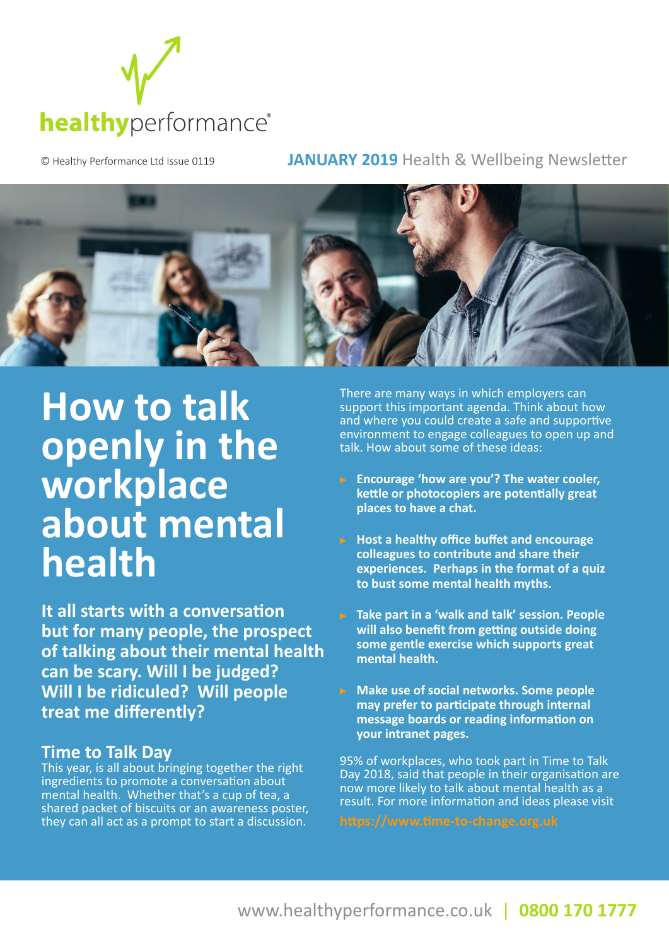

© Healthy Performance Ltd Issue 0119 **JANUARY 2019** Health & Wellbeing Newsletter



## **How to talk openly in the workplace about mental health**

**It all starts with a conversation but for many people, the prospect of talking about their mental health can be scary. Will I be judged? Will I be ridiculed? Will people treat me differently?** 

#### **Time to Talk Day**

This year, is all about bringing together the right ingredients to promote a conversation about mental health. Whether that's a cup of tea, a shared packet of biscuits or an awareness poster, they can all act as a prompt to start a discussion.

There are many ways in which employers can support this important agenda. Think about how and where you could create a safe and supportive environment to engage colleagues to open up and talk. How about some of these ideas:

- **Encourage 'how are you'? The water cooler, kettle or photocopiers are potentially great places to have a chat.**
- **Host a healthy office buffet and encourage colleagues to contribute and share their experiences. Perhaps in the format of a quiz to bust some mental health myths.**
- **Take part in a 'walk and talk' session. People will also benefit from getting outside doing some gentle exercise which supports great mental health.**
- **Make use of social networks. Some people may prefer to participate through internal message boards or reading information on your intranet pages.**

95% of workplaces, who took part in Time to Talk Day 2018, said that people in their organisation are now more likely to talk about mental health as a result. For more information and ideas please visit

**https://www.time-to-change.org.uk**